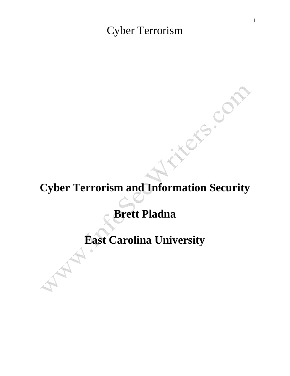# **Cyber Terrorism and Information Security**

**Brett Pladna** 

**East Carolina University**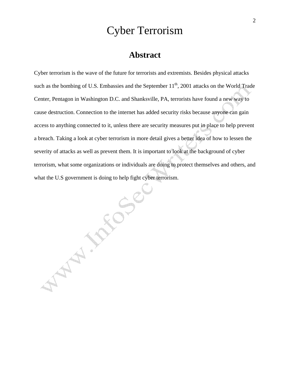### **Abstract**

Cyber terrorism is the wave of the future for terrorists and extremists. Besides physical attacks such as the bombing of U.S. Embassies and the September  $11<sup>th</sup>$ , 2001 attacks on the World Trade Center, Pentagon in Washington D.C. and Shanksville, PA, terrorists have found a new way to cause destruction. Connection to the internet has added security risks because anyone can gain access to anything connected to it, unless there are security measures put in place to help prevent a breach. Taking a look at cyber terrorism in more detail gives a better idea of how to lessen the severity of attacks as well as prevent them. It is important to look at the background of cyber terrorism, what some organizations or individuals are doing to protect themselves and others, and<br>what the U.S government is doing to help fight cyber terrorism. what the U.S government is doing to help fight cyber terrorism.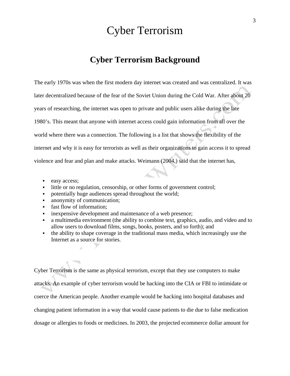### **Cyber Terrorism Background**

The early 1970s was when the first modern day internet was created and was centralized. It was later decentralized because of the fear of the Soviet Union during the Cold War. After about 20 years of researching, the internet was open to private and public users alike during the late 1980's. This meant that anyone with internet access could gain information from all over the world where there was a connection. The following is a list that shows the flexibility of the internet and why it is easy for terrorists as well as their organizations to gain access it to spread violence and fear and plan and make attacks. Weimann (2004,) said that the internet has,

- easy access;
- I little or no regulation, censorship, or other forms of government control;
- potentially huge audiences spread throughout the world;
- anonymity of communication;
- fast flow of information;
- inexpensive development and maintenance of a web presence;
- a multimedia environment (the ability to combine text, graphics, audio, and video and to allow users to download films, songs, books, posters, and so forth); and
- the ability to shape coverage in the traditional mass media, which increasingly use the Internet as a source for stories.

Cyber Terrorism is the same as physical terrorism, except that they use computers to make attacks. An example of cyber terrorism would be hacking into the CIA or FBI to intimidate or coerce the American people. Another example would be hacking into hospital databases and changing patient information in a way that would cause patients to die due to false medication dosage or allergies to foods or medicines. In 2003, the projected ecommerce dollar amount for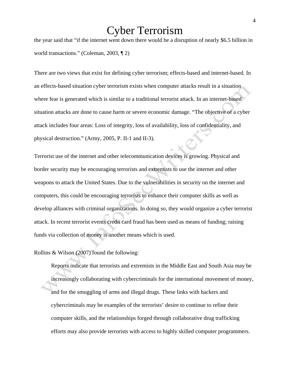the year said that "if the internet went down there would be a disruption of nearly \$6.5 billion in world transactions." (Coleman, 2003, ¶ 2)

There are two views that exist for defining cyber terrorism; effects-based and internet-based. In an effects-based situation cyber terrorism exists when computer attacks result in a situation where fear is generated which is similar to a traditional terrorist attack. In an internet-based situation attacks are done to cause harm or severe economic damage. "The objective of a cyber attack includes four areas: Loss of integrity, loss of availability, loss of confidentiality, and physical destruction." (Army, 2005, P. II-1 and II-3).

Terrorist use of the internet and other telecommunication devices is growing. Physical and border security may be encouraging terrorists and extremists to use the internet and other weapons to attack the United States. Due to the vulnerabilities in security on the internet and computers, this could be encouraging terrorists to enhance their computer skills as well as develop alliances with criminal organizations. In doing so, they would organize a cyber terrorist attack. In recent terrorist events credit card fraud has been used as means of funding; raising funds via collection of money is another means which is used.

Rollins & Wilson (2007) found the following:

Reports indicate that terrorists and extremists in the Middle East and South Asia may be increasingly collaborating with cybercriminals for the international movement of money, and for the smuggling of arms and illegal drugs. These links with hackers and cybercriminals may be examples of the terrorists' desire to continue to refine their computer skills, and the relationships forged through collaborative drug trafficking efforts may also provide terrorists with access to highly skilled computer programmers.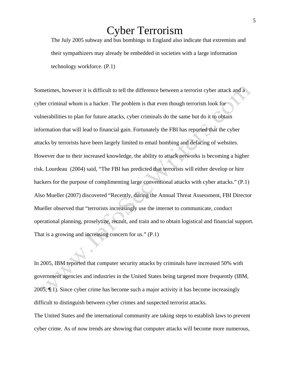The July 2005 subway and bus bombings in England also indicate that extremists and their sympathizers may already be embedded in societies with a large information technology workforce. (P.1)

Sometimes, however it is difficult to tell the difference between a terrorist cyber attack and a cyber criminal whom is a hacker. The problem is that even though terrorists look for vulnerabilities to plan for future attacks, cyber criminals do the same but do it to obtain information that will lead to financial gain. Fortunately the FBI has reported that the cyber attacks by terrorists have been largely limited to email bombing and defacing of websites. However due to their increased knowledge, the ability to attack networks is becoming a higher risk. Lourdeau (2004) said, "The FBI has predicted that terrorists will either develop or hire hackers for the purpose of complimenting large conventional attacks with cyber attacks." (P.1) Also Mueller (2007) discovered "Recently, during the Annual Threat Assessment, FBI Director Mueller observed that "terrorists increasingly use the internet to communicate, conduct operational planning, proselytize, recruit, and train and to obtain logistical and financial support. That is a growing and increasing concern for us." (P.1)

In 2005, IBM reported that computer security attacks by criminals have increased 50% with government agencies and industries in the United States being targeted more frequently (IBM, 2005, ¶ 1). Since cyber crime has become such a major activity it has become increasingly difficult to distinguish between cyber crimes and suspected terrorist attacks.

The United States and the international community are taking steps to establish laws to prevent cyber crime. As of now trends are showing that computer attacks will become more numerous,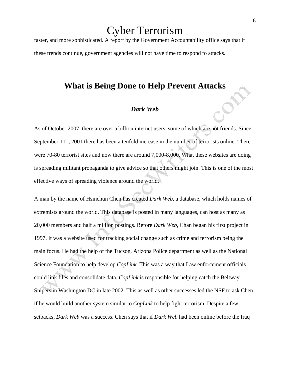faster, and more sophisticated. A report by the Government Accountability office says that if these trends continue, government agencies will not have time to respond to attacks.

### **What is Being Done to Help Prevent Attacks**

### *Dark Web*

As of October 2007, there are over a billion internet users, some of which are not friends. Since September  $11<sup>th</sup>$ , 2001 there has been a tenfold increase in the number of terrorists online. There were 70-80 terrorist sites and now there are around 7,000-8,000. What these websites are doing is spreading militant propaganda to give advice so that others might join. This is one of the most effective ways of spreading violence around the world.

A man by the name of Hsinchun Chen has created *Dark Web*, a database, which holds names of extremists around the world. This database is posted in many languages, can host as many as 20,000 members and half a million postings. Before *Dark Web*, Chan began his first project in 1997. It was a website used for tracking social change such as crime and terrorism being the main focus. He had the help of the Tucson, Arizona Police department as well as the National Science Foundation to help develop *CopLink*. This was a way that Law enforcement officials could link files and consolidate data. *CopLink* is responsible for helping catch the Beltway Snipers in Washington DC in late 2002. This as well as other successes led the NSF to ask Chen if he would build another system similar to *CopLink* to help fight terrorism. Despite a few setbacks, *Dark Web* was a success. Chen says that if *Dark Web* had been online before the Iraq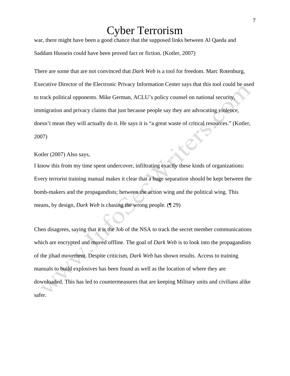war, there might have been a good chance that the supposed links between Al Qaeda and Saddam Hussein could have been proved fact or fiction. (Kotler, 2007)

There are some that are not convinced that *Dark Web* is a tool for freedom. Marc Rotenburg, Executive Director of the Electronic Privacy Information Center says that this tool could be used to track political opponents. Mike German, ACLU's policy counsel on national security, immigration and privacy claims that just because people say they are advocating violence, doesn't mean they will actually do it. He says it is "a great waste of critical resources." (Kotler, 2007)

Kotler (2007) Also says,

I know this from my time spent undercover, infiltrating exactly these kinds of organizations: Every terrorist training manual makes it clear that a huge separation should be kept between the bomb-makers and the propagandists; between the action wing and the political wing. This means, by design, *Dark Web* is chasing the wrong people. (¶ 29)

Chen disagrees, saying that it is the Job of the NSA to track the secret member communications which are encrypted and moved offline. The goal of *Dark Web* is to look into the propagandists of the jihad movement. Despite criticism, *Dark Web* has shown results. Access to training manuals to build explosives has been found as well as the location of where they are downloaded. This has led to countermeasures that are keeping Military units and civilians alike safer.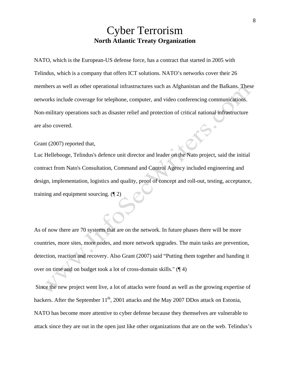# Cyber Terrorism **North Atlantic Treaty Organization**

NATO, which is the European-US defense force, has a contract that started in 2005 with Telindus, which is a company that offers ICT solutions. NATO's networks cover their 26 members as well as other operational infrastructures such as Afghanistan and the Balkans. These networks include coverage for telephone, computer, and video conferencing communications. Non-military operations such as disaster relief and protection of critical national infrastructure are also covered.

Grant (2007) reported that,

Luc Hellebooge, Telindus's defence unit director and leader on the Nato project, said the initial contract from Nato's Consultation, Command and Control Agency included engineering and design, implementation, logistics and quality, proof of concept and roll-out, testing, acceptance, training and equipment sourcing. (¶ 2)

As of now there are 70 systems that are on the network. In future phases there will be more countries, more sites, more nodes, and more network upgrades. The main tasks are prevention, detection, reaction and recovery. Also Grant (2007) said "Putting them together and handing it over on time and on budget took a lot of cross-domain skills." (¶ 4)

 Since the new project went live, a lot of attacks were found as well as the growing expertise of hackers. After the September  $11<sup>th</sup>$ , 2001 attacks and the May 2007 DDos attack on Estonia, NATO has become more attentive to cyber defense because they themselves are vulnerable to attack since they are out in the open just like other organizations that are on the web. Telindus's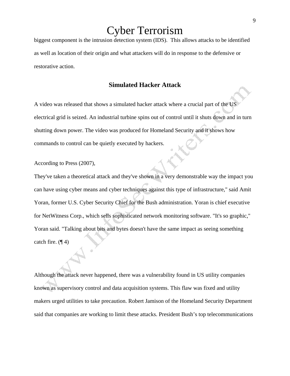biggest component is the intrusion detection system (IDS). This allows attacks to be identified as well as location of their origin and what attackers will do in response to the defensive or restorative action.

### **Simulated Hacker Attack**

A video was released that shows a simulated hacker attack where a crucial part of the US electrical grid is seized. An industrial turbine spins out of control until it shuts down and in turn shutting down power. The video was produced for Homeland Security and it shows how commands to control can be quietly executed by hackers.

According to Press (2007),

They've taken a theoretical attack and they've shown in a very demonstrable way the impact you can have using cyber means and cyber techniques against this type of infrastructure," said Amit Yoran, former U.S. Cyber Security Chief for the Bush administration. Yoran is chief executive for NetWitness Corp., which sells sophisticated network monitoring software. "It's so graphic," Yoran said. "Talking about bits and bytes doesn't have the same impact as seeing something catch fire.  $(\P 4)$ 

Although the attack never happened, there was a vulnerability found in US utility companies known as supervisory control and data acquisition systems. This flaw was fixed and utility makers urged utilities to take precaution. Robert Jamison of the Homeland Security Department said that companies are working to limit these attacks. President Bush's top telecommunications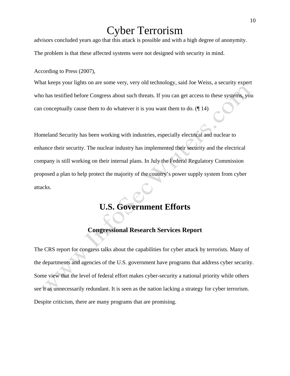advisors concluded years ago that this attack is possible and with a high degree of anonymity. The problem is that these affected systems were not designed with security in mind.

According to Press (2007),

What keeps your lights on are some very, very old technology, said Joe Weiss, a security expert who has testified before Congress about such threats. If you can get access to these systems, you can conceptually cause them to do whatever it is you want them to do. (¶ 14)

Homeland Security has been working with industries, especially electrical and nuclear to enhance their security. The nuclear industry has implemented their security and the electrical company is still working on their internal plans. In July the Federal Regulatory Commission proposed a plan to help protect the majority of the country's power supply system from cyber attacks.

# **U.S. Government Efforts**

### **Congressional Research Services Report**

The CRS report for congress talks about the capabilities for cyber attack by terrorists. Many of the departments and agencies of the U.S. government have programs that address cyber security. Some view that the level of federal effort makes cyber-security a national priority while others see it as unnecessarily redundant. It is seen as the nation lacking a strategy for cyber terrorism. Despite criticism, there are many programs that are promising.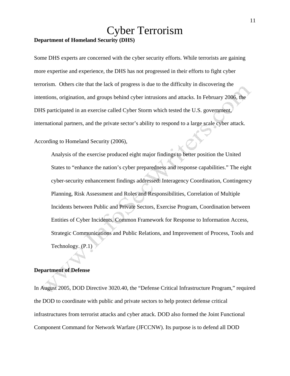## Cyber Terrorism **Department of Homeland Security (DHS)**

Some DHS experts are concerned with the cyber security efforts. While terrorists are gaining more expertise and experience, the DHS has not progressed in their efforts to fight cyber terrorism. Others cite that the lack of progress is due to the difficulty in discovering the intentions, origination, and groups behind cyber intrusions and attacks. In February 2006, the DHS participated in an exercise called Cyber Storm which tested the U.S. government, international partners, and the private sector's ability to respond to a large scale cyber attack.

According to Homeland Security (2006),

Analysis of the exercise produced eight major findings to better position the United States to "enhance the nation's cyber preparedness and response capabilities." The eight cyber-security enhancement findings addressed: Interagency Coordination, Contingency Planning, Risk Assessment and Roles and Responsibilities, Correlation of Multiple Incidents between Public and Private Sectors, Exercise Program, Coordination between Entities of Cyber Incidents, Common Framework for Response to Information Access, Strategic Communications and Public Relations, and Improvement of Process, Tools and Technology. (P.1)

### **Department of Defense**

In August 2005, DOD Directive 3020.40, the "Defense Critical Infrastructure Program," required the DOD to coordinate with public and private sectors to help protect defense critical infrastructures from terrorist attacks and cyber attack. DOD also formed the Joint Functional Component Command for Network Warfare (JFCCNW). Its purpose is to defend all DOD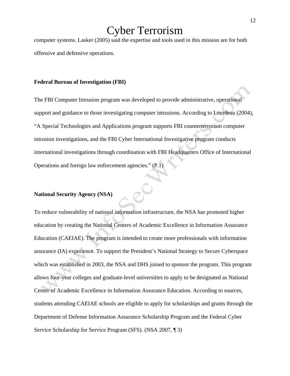computer systems. Lasker (2005) said the expertise and tools used in this mission are for both offensive and defensive operations.

### **Federal Bureau of Investigation (FBI)**

The FBI Computer Intrusion program was developed to provide administrative, operational support and guidance to those investigating computer intrusions. According to Lourdeau (2004), "A Special Technologies and Applications program supports FBI counterterrorism computer intrusion investigations, and the FBI Cyber International Investigative program conducts international investigations through coordination with FBI Headquarters Office of International Operations and foreign law enforcement agencies."

### **National Security Agency (NSA)**

To reduce vulnerability of national information infrastructure, the NSA has promoted higher education by creating the National Centers of Academic Excellence in Information Assurance Education (CAEIAE). The program is intended to create more professionals with information assurance (IA) experience. To support the President's National Strategy to Secure Cyberspace which was established in 2003, the NSA and DHS joined to sponsor the program. This program allows four-year colleges and graduate-level universities to apply to be designated as National Center of Academic Excellence in Information Assurance Education. According to sources, students attending CAEIAE schools are eligible to apply for scholarships and grants through the Department of Defense Information Assurance Scholarship Program and the Federal Cyber Service Scholarship for Service Program (SFS). (NSA 2007, ¶ 3)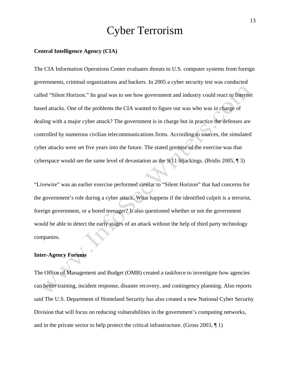### **Central Intelligence Agency (CIA)**

The CIA Information Operations Center evaluates threats to U.S. computer systems from foreign governments, criminal organizations and hackers. In 2005 a cyber security test was conducted called "Silent Horizon." Its goal was to see how government and industry could react to Internet based attacks. One of the problems the CIA wanted to figure out was who was in charge of dealing with a major cyber attack? The government is in charge but in practice the defenses are controlled by numerous civilian telecommunications firms. According to sources, the simulated cyber attacks were set five years into the future. The stated premise of the exercise was that cyberspace would see the same level of devastation as the 9/11 hijackings. (Bridis 2005, ¶ 3)

"Livewire" was an earlier exercise performed similar to "Silent Horizon" that had concerns for the government's role during a cyber attack. What happens if the identified culprit is a terrorist, foreign government, or a bored teenager? It also questioned whether or not the government would be able to detect the early stages of an attack without the help of third party technology companies.

### **Inter-Agency Forums**

The Office of Management and Budget (OMB) created a taskforce to investigate how agencies can better training, incident response, disaster recovery, and contingency planning. Also reports said The U.S. Department of Homeland Security has also created a new National Cyber Security Division that will focus on reducing vulnerabilities in the government's computing networks, and in the private sector to help protect the critical infrastructure. (Gross 2003, ¶ 1)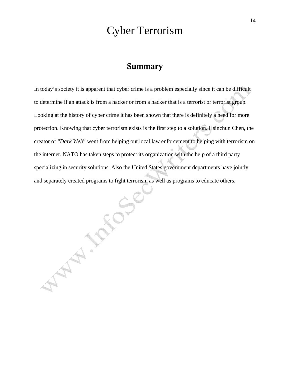### **Summary**

In today's society it is apparent that cyber crime is a problem especially since it can be difficult to determine if an attack is from a hacker or from a hacker that is a terrorist or terrorist group. Looking at the history of cyber crime it has been shown that there is definitely a need for more protection. Knowing that cyber terrorism exists is the first step to a solution. Hsinchun Chen, the creator of "*Dark Web*" went from helping out local law enforcement to helping with terrorism on the internet. NATO has taken steps to protect its organization with the help of a third party specializing in security solutions. Also the United States government departments have jointly<br>and separately created programs to fight terrorism as well as programs to educate others. and separately created programs to fight terrorism as well as programs to educate others.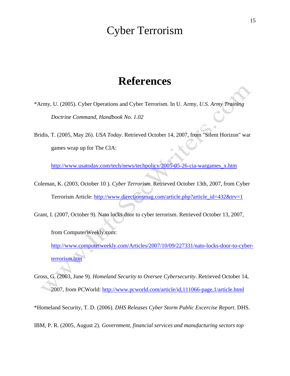# **References**

\*Army, U. (2005). Cyber Operations and Cyber Terrorism. In U. Army, *U.S. Army Training Doctrine Command, Handbook No. 1.02*

Bridis, T. (2005, May 26). *USA Today*. Retrieved October 14, 2007, from "Silent Horizon" war games wrap up for The CIA:

http://www.usatoday.com/tech/news/techpolicy/2005-05-26-cia-wargames\_x.htm

- Coleman, K. (2003, October 10 ). *Cyber Terrorism.* Retrieved October 13th, 2007, from Cyber Terrorism Article: http://www.directionsmag.com/article.php?article\_id=432&trv=1
- Grant, I. (2007, October 9). Nato locks door to cyber terrorism. Retrieved October 13, 2007,

from ComputerWeekly.com:

http://www.computerweekly.com/Articles/2007/10/09/227331/nato-locks-door-to-cyberterrorism.htm

Gross, G. (2003, June 9). *Homeland Security to Oversee Cybersecurity*. Retrieved October 14, 2007, from PCWorld: http://www.pcworld.com/article/id,111066-page,1/article.html

\*Homeland Security, T. D. (2006). *DHS Releases Cyber Storm Public Excercise Report.* DHS.

IBM, P. R. (2005, August 2). *Government, financial services and manufacturing sectors top*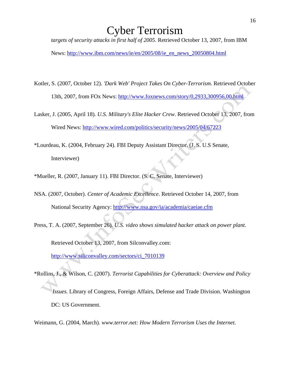*targets of security attacks in first half of 2005*. Retrieved October 13, 2007, from IBM

News: http://www.ibm.com/news/ie/en/2005/08/ie\_en\_news\_20050804.html

- Kotler, S. (2007, October 12). *'Dark Web' Project Takes On Cyber-Terrorism*. Retrieved October 13th, 2007, from FOx News: http://www.foxnews.com/story/0,2933,300956,00.html
- Lasker, J. (2005, April 18). *U.S. Military's Elite Hacker Crew*. Retrieved October 13, 2007, from Wired News: http://www.wired.com/politics/security/news/2005/04/67223
- \*Lourdeau, K. (2004, February 24). FBI Deputy Assistant Director. (J. S. U.S Senate, Interviewer)
- \*Mueller, R. (2007, January 11). FBI Director. (S. C. Senate, Interviewer)
- NSA. (2007, October). *Center of Academic Excellence*. Retrieved October 14, 2007, from National Security Agency: http://www.nsa.gov/ia/academia/caeiae.cfm
- Press, T. A. (2007, September 26). *U.S. video shows simulated hacker attack on power plant*. Retrieved October 13, 2007, from Silconvalley.com: http://www.siliconvalley.com/sectors/ci\_7010139

\*Rollins, J., & Wilson, C. (2007). *Terrorist Capabilities for Cyberattack: Overview and Policy Issues.* Library of Congress, Foreign Affairs, Defense and Trade Division. Washington DC: US Government.

Weimann, G. (2004, March). *www.terror.net: How Modern Terrorism Uses the Internet*.